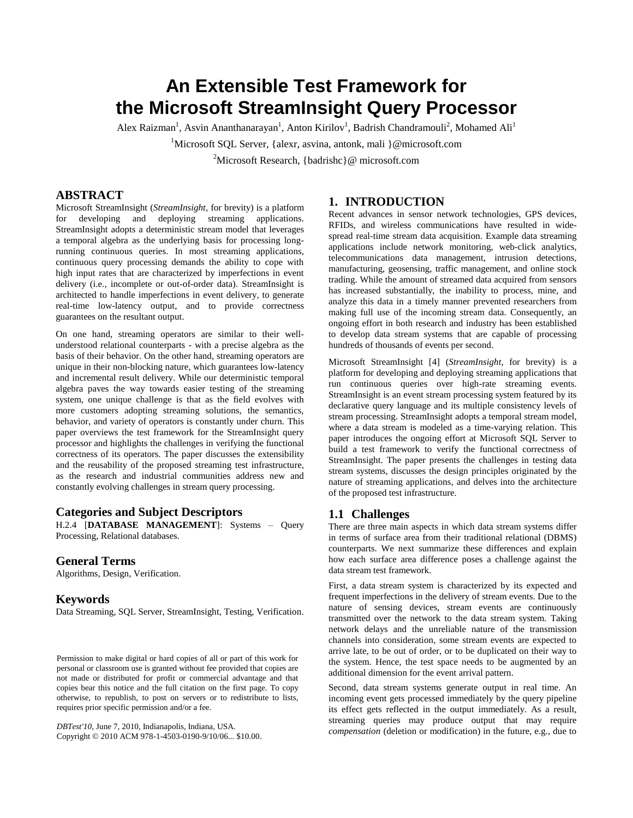# **An Extensible Test Framework for the Microsoft StreamInsight Query Processor**

Alex Raizman<sup>1</sup>, Asvin Ananthanarayan<sup>1</sup>, Anton Kirilov<sup>1</sup>, Badrish Chandramouli<sup>2</sup>, Mohamed Ali<sup>1</sup>

<sup>1</sup>Microsoft SOL Server, {alexr, asvina, antonk, mali }@microsoft.com

<sup>2</sup>Microsoft Research, {badrishc}@ microsoft.com

# **ABSTRACT**

Microsoft StreamInsight (*StreamInsight*, for brevity) is a platform for developing and deploying streaming applications. StreamInsight adopts a deterministic stream model that leverages a temporal algebra as the underlying basis for processing longrunning continuous queries. In most streaming applications, continuous query processing demands the ability to cope with high input rates that are characterized by imperfections in event delivery (i.e., incomplete or out-of-order data). StreamInsight is architected to handle imperfections in event delivery, to generate real-time low-latency output, and to provide correctness guarantees on the resultant output.

On one hand, streaming operators are similar to their wellunderstood relational counterparts - with a precise algebra as the basis of their behavior. On the other hand, streaming operators are unique in their non-blocking nature, which guarantees low-latency and incremental result delivery. While our deterministic temporal algebra paves the way towards easier testing of the streaming system, one unique challenge is that as the field evolves with more customers adopting streaming solutions, the semantics, behavior, and variety of operators is constantly under churn. This paper overviews the test framework for the StreamInsight query processor and highlights the challenges in verifying the functional correctness of its operators. The paper discusses the extensibility and the reusability of the proposed streaming test infrastructure, as the research and industrial communities address new and constantly evolving challenges in stream query processing.

#### **Categories and Subject Descriptors**

H.2.4 [**DATABASE MANAGEMENT**]: Systems – Query Processing, Relational databases.

# **General Terms**

Algorithms, Design, Verification.

#### **Keywords**

Data Streaming, SQL Server, StreamInsight, Testing, Verification.

Permission to make digital or hard copies of all or part of this work for personal or classroom use is granted without fee provided that copies are not made or distributed for profit or commercial advantage and that copies bear this notice and the full citation on the first page. To copy otherwise, to republish, to post on servers or to redistribute to lists, requires prior specific permission and/or a fee.

*DBTest'10*, June 7, 2010, Indianapolis, Indiana, USA. Copyright © 2010 ACM 978-1-4503-0190-9/10/06... \$10.00.

# **1. INTRODUCTION**

Recent advances in sensor network technologies, GPS devices, RFIDs, and wireless communications have resulted in widespread real-time stream data acquisition. Example data streaming applications include network monitoring, web-click analytics, telecommunications data management, intrusion detections, manufacturing, geosensing, traffic management, and online stock trading. While the amount of streamed data acquired from sensors has increased substantially, the inability to process, mine, and analyze this data in a timely manner prevented researchers from making full use of the incoming stream data. Consequently, an ongoing effort in both research and industry has been established to develop data stream systems that are capable of processing hundreds of thousands of events per second.

Microsoft StreamInsight [4] (*StreamInsight*, for brevity) is a platform for developing and deploying streaming applications that run continuous queries over high-rate streaming events. StreamInsight is an event stream processing system featured by its declarative query language and its multiple consistency levels of stream processing. StreamInsight adopts a temporal stream model, where a data stream is modeled as a time-varying relation. This paper introduces the ongoing effort at Microsoft SQL Server to build a test framework to verify the functional correctness of StreamInsight. The paper presents the challenges in testing data stream systems, discusses the design principles originated by the nature of streaming applications, and delves into the architecture of the proposed test infrastructure.

# **1.1 Challenges**

There are three main aspects in which data stream systems differ in terms of surface area from their traditional relational (DBMS) counterparts. We next summarize these differences and explain how each surface area difference poses a challenge against the data stream test framework.

First, a data stream system is characterized by its expected and frequent imperfections in the delivery of stream events. Due to the nature of sensing devices, stream events are continuously transmitted over the network to the data stream system. Taking network delays and the unreliable nature of the transmission channels into consideration, some stream events are expected to arrive late, to be out of order, or to be duplicated on their way to the system. Hence, the test space needs to be augmented by an additional dimension for the event arrival pattern.

Second, data stream systems generate output in real time. An incoming event gets processed immediately by the query pipeline its effect gets reflected in the output immediately. As a result, streaming queries may produce output that may require *compensation* (deletion or modification) in the future, e.g., due to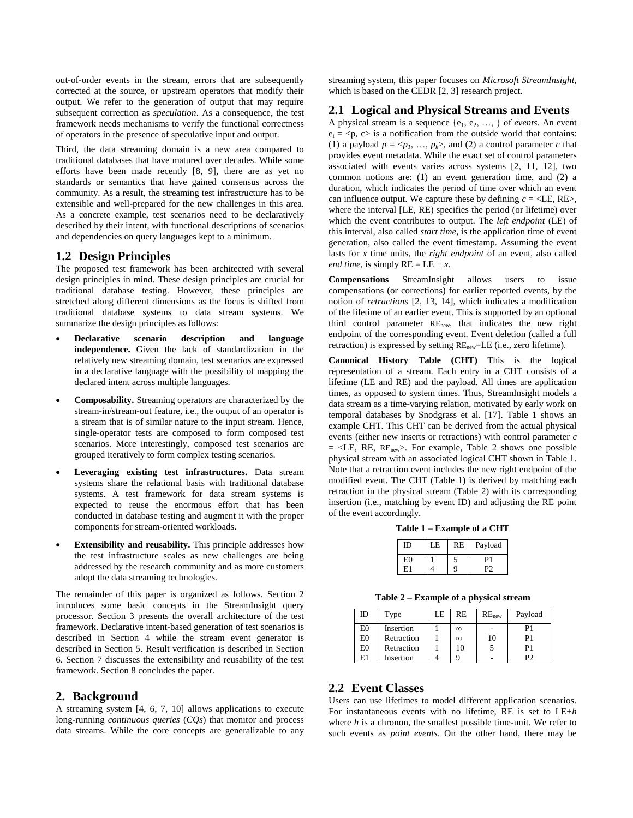out-of-order events in the stream, errors that are subsequently corrected at the source, or upstream operators that modify their output. We refer to the generation of output that may require subsequent correction as *speculation*. As a consequence, the test framework needs mechanisms to verify the functional correctness of operators in the presence of speculative input and output.

Third, the data streaming domain is a new area compared to traditional databases that have matured over decades. While some efforts have been made recently [8, 9], there are as yet no standards or semantics that have gained consensus across the community. As a result, the streaming test infrastructure has to be extensible and well-prepared for the new challenges in this area. As a concrete example, test scenarios need to be declaratively described by their intent, with functional descriptions of scenarios and dependencies on query languages kept to a minimum.

## **1.2 Design Principles**

The proposed test framework has been architected with several design principles in mind. These design principles are crucial for traditional database testing. However, these principles are stretched along different dimensions as the focus is shifted from traditional database systems to data stream systems. We summarize the design principles as follows:

- **Declarative scenario description and language independence.** Given the lack of standardization in the relatively new streaming domain, test scenarios are expressed in a declarative language with the possibility of mapping the declared intent across multiple languages.
- **Composability.** Streaming operators are characterized by the stream-in/stream-out feature, i.e., the output of an operator is a stream that is of similar nature to the input stream. Hence, single-operator tests are composed to form composed test scenarios. More interestingly, composed test scenarios are grouped iteratively to form complex testing scenarios.
- **Leveraging existing test infrastructures.** Data stream systems share the relational basis with traditional database systems. A test framework for data stream systems is expected to reuse the enormous effort that has been conducted in database testing and augment it with the proper components for stream-oriented workloads.
- **Extensibility and reusability.** This principle addresses how the test infrastructure scales as new challenges are being addressed by the research community and as more customers adopt the data streaming technologies.

The remainder of this paper is organized as follows. Section 2 introduces some basic concepts in the StreamInsight query processor. Section 3 presents the overall architecture of the test framework. Declarative intent-based generation of test scenarios is described in Section 4 while the stream event generator is described in Section 5. Result verification is described in Section 6. Section 7 discusses the extensibility and reusability of the test framework. Section 8 concludes the paper.

#### **2. Background**

A streaming system [4, 6, 7, 10] allows applications to execute long-running *continuous queries* (*CQs*) that monitor and process data streams. While the core concepts are generalizable to any

streaming system, this paper focuses on *Microsoft StreamInsight*, which is based on the CEDR [2, 3] research project.

# **2.1 Logical and Physical Streams and Events**

A physical stream is a sequence  $\{e_1, e_2, \ldots\}$  of *events*. An event  $e_i = \langle p, c \rangle$  is a notification from the outside world that contains: (1) a payload  $p = \langle p_1, ..., p_k \rangle$ , and (2) a control parameter *c* that provides event metadata. While the exact set of control parameters associated with events varies across systems [2, 11, 12], two common notions are: (1) an event generation time, and (2) a duration, which indicates the period of time over which an event can influence output. We capture these by defining  $c = \langle LE, RE \rangle$ , where the interval [LE, RE) specifies the period (or lifetime) over which the event contributes to output. The *left endpoint* (LE) of this interval, also called *start time*, is the application time of event generation, also called the event timestamp. Assuming the event lasts for *x* time units, the *right endpoint* of an event, also called *end time*, is simply  $RE = LE + x$ .

**Compensations** StreamInsight allows users to issue compensations (or corrections) for earlier reported events, by the notion of *retractions* [2, 13, 14], which indicates a modification of the lifetime of an earlier event. This is supported by an optional third control parameter REnew, that indicates the new right endpoint of the corresponding event. Event deletion (called a full retraction) is expressed by setting  $RE_{new} = LE$  (i.e., zero lifetime).

**Canonical History Table (CHT)** This is the logical representation of a stream. Each entry in a CHT consists of a lifetime (LE and RE) and the payload. All times are application times, as opposed to system times. Thus, StreamInsight models a data stream as a time-varying relation, motivated by early work on temporal databases by Snodgrass et al. [17]. Table 1 shows an example CHT. This CHT can be derived from the actual physical events (either new inserts or retractions) with control parameter *c*  $=$  <LE, RE, RE<sub>new</sub>>. For example, Table 2 shows one possible physical stream with an associated logical CHT shown in Table 1. Note that a retraction event includes the new right endpoint of the modified event. The CHT (Table 1) is derived by matching each retraction in the physical stream (Table 2) with its corresponding insertion (i.e., matching by event ID) and adjusting the RE point of the event accordingly.

**Table 1 – Example of a CHT**

| ID | LE | <b>RE</b> | Payload |
|----|----|-----------|---------|
| E0 |    |           | D.      |
| Е. |    |           |         |

**Table 2 – Example of a physical stream**

| ID             | Type       | LE | <b>RE</b> | RE <sub>new</sub> | Payload |
|----------------|------------|----|-----------|-------------------|---------|
| E <sub>0</sub> | Insertion  |    | $\infty$  |                   | P1      |
| E <sub>0</sub> | Retraction |    | ∞         | 10                | P1      |
| E <sub>0</sub> | Retraction |    | 10        |                   | P1      |
| E1             | Insertion  |    |           |                   | P٦      |

# **2.2 Event Classes**

Users can use lifetimes to model different application scenarios. For instantaneous events with no lifetime, RE is set to LE+*h* where *h* is a chronon, the smallest possible time-unit. We refer to such events as *point events*. On the other hand, there may be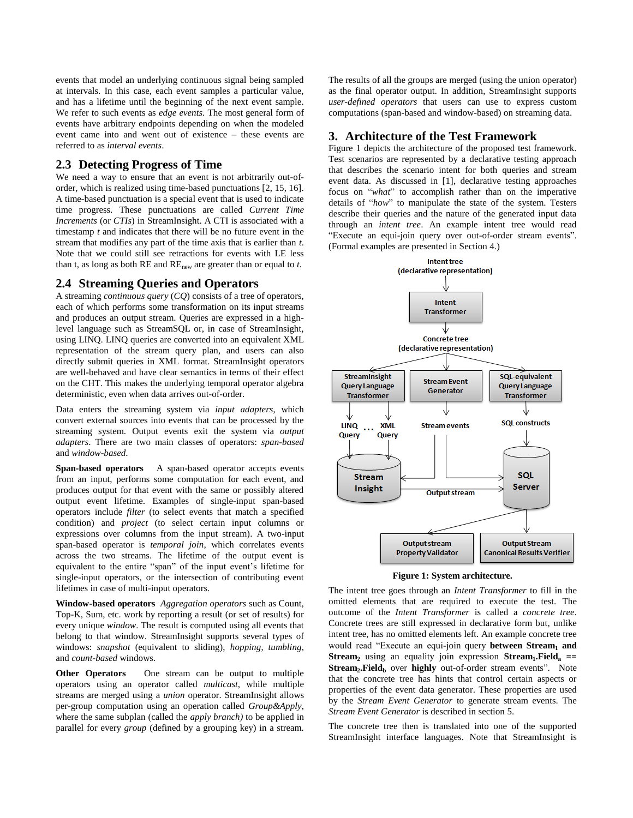events that model an underlying continuous signal being sampled at intervals. In this case, each event samples a particular value, and has a lifetime until the beginning of the next event sample. We refer to such events as *edge events*. The most general form of events have arbitrary endpoints depending on when the modeled event came into and went out of existence – these events are referred to as *interval events*.

## **2.3 Detecting Progress of Time**

We need a way to ensure that an event is not arbitrarily out-oforder, which is realized using time-based punctuations [2, 15, 16]. A time-based punctuation is a special event that is used to indicate time progress. These punctuations are called *Current Time Increments* (or *CTIs*) in StreamInsight. A CTI is associated with a timestamp *t* and indicates that there will be no future event in the stream that modifies any part of the time axis that is earlier than *t*. Note that we could still see retractions for events with LE less than t, as long as both RE and REnew are greater than or equal to *t*.

# **2.4 Streaming Queries and Operators**

A streaming *continuous query* (*CQ*) consists of a tree of operators, each of which performs some transformation on its input streams and produces an output stream. Queries are expressed in a highlevel language such as StreamSQL or, in case of StreamInsight, using LINQ. LINQ queries are converted into an equivalent XML representation of the stream query plan, and users can also directly submit queries in XML format. StreamInsight operators are well-behaved and have clear semantics in terms of their effect on the CHT. This makes the underlying temporal operator algebra deterministic, even when data arrives out-of-order.

Data enters the streaming system via *input adapters*, which convert external sources into events that can be processed by the streaming system. Output events exit the system via *output adapters*. There are two main classes of operators: *span-based* and *window-based*.

**Span-based operators** A span-based operator accepts events from an input, performs some computation for each event, and produces output for that event with the same or possibly altered output event lifetime. Examples of single-input span-based operators include *filter* (to select events that match a specified condition) and *project* (to select certain input columns or expressions over columns from the input stream). A two-input span-based operator is *temporal join,* which correlates events across the two streams. The lifetime of the output event is equivalent to the entire "span" of the input event's lifetime for single-input operators, or the intersection of contributing event lifetimes in case of multi-input operators.

**Window-based operators** *Aggregation operators* such as Count, Top-K, Sum, etc. work by reporting a result (or set of results) for every unique *window*. The result is computed using all events that belong to that window. StreamInsight supports several types of windows: *snapshot* (equivalent to sliding), *hopping*, *tumbling*, and *count-based* windows.

**Other Operators** One stream can be output to multiple operators using an operator called *multicast,* while multiple streams are merged using a *union* operator. StreamInsight allows per-group computation using an operation called *Group&Apply*, where the same subplan (called the *apply branch)* to be applied in parallel for every *group* (defined by a grouping key) in a stream.

The results of all the groups are merged (using the union operator) as the final operator output. In addition, StreamInsight supports *user-defined operators* that users can use to express custom computations (span-based and window-based) on streaming data.

#### **3. Architecture of the Test Framework**

[Figure 1](#page-2-0) depicts the architecture of the proposed test framework. Test scenarios are represented by a declarative testing approach that describes the scenario intent for both queries and stream event data. As discussed in [1], declarative testing approaches focus on "*what*" to accomplish rather than on the imperative details of "*how*" to manipulate the state of the system. Testers describe their queries and the nature of the generated input data through an *intent tree*. An example intent tree would read "Execute an equi-join query over out-of-order stream events". (Formal examples are presented in Section 4.)



**Figure 1: System architecture.**

<span id="page-2-0"></span>The intent tree goes through an *Intent Transformer* to fill in the omitted elements that are required to execute the test. The outcome of the *Intent Transformer* is called a *concrete tree*. Concrete trees are still expressed in declarative form but, unlike intent tree, has no omitted elements left. An example concrete tree would read "Execute an equi-join query **between Stream<sup>1</sup> and Stream<sup>2</sup>** using an equality join expression **Stream<sup>1</sup> .Field<sup>a</sup> == Stream<sup>2</sup> .Field<sup>b</sup>** over **highly** out-of-order stream events". Note that the concrete tree has hints that control certain aspects or properties of the event data generator. These properties are used by the *Stream Event Generator* to generate stream events. The *Stream Event Generator* is described in sectio[n 5.](#page-3-0)

The concrete tree then is translated into one of the supported StreamInsight interface languages. Note that StreamInsight is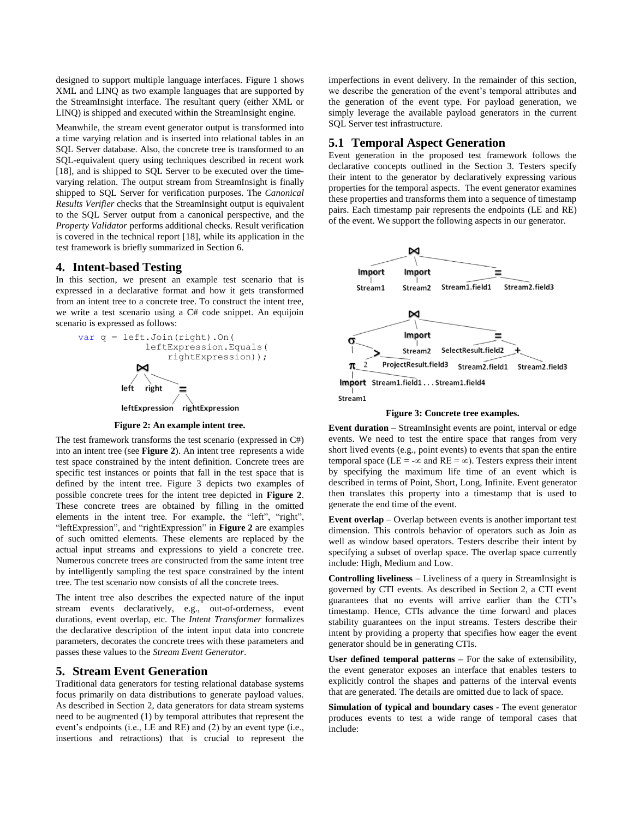designed to support multiple language interfaces. [Figure 1](#page-2-0) shows XML and LINQ as two example languages that are supported by the StreamInsight interface. The resultant query (either XML or LINQ) is shipped and executed within the StreamInsight engine.

Meanwhile, the stream event generator output is transformed into a time varying relation and is inserted into relational tables in an SQL Server database. Also, the concrete tree is transformed to an SQL-equivalent query using techniques described in recent work [18], and is shipped to SQL Server to be executed over the timevarying relation. The output stream from StreamInsight is finally shipped to SQL Server for verification purposes. The *Canonical Results Verifier* checks that the StreamInsight output is equivalent to the SQL Server output from a canonical perspective, and the *Property Validator* performs additional checks. Result verification is covered in the technical report [18], while its application in the test framework is briefly summarized in Section 6.

#### **4. Intent-based Testing**

In this section, we present an example test scenario that is expressed in a declarative format and how it gets transformed from an intent tree to a concrete tree. To construct the intent tree, we write a test scenario using a C# code snippet. An equijoin scenario is expressed as follows:



#### **Figure 2: An example intent tree.**

<span id="page-3-1"></span>The test framework transforms the test scenario (expressed in C#) into an intent tree (see **[Figure 2](#page-3-1)**). An intent tree represents a wide test space constrained by the intent definition. Concrete trees are specific test instances or points that fall in the test space that is defined by the intent tree. [Figure 3](#page-3-2) depicts two examples of possible concrete trees for the intent tree depicted in **[Figure 2](#page-3-1)**. These concrete trees are obtained by filling in the omitted elements in the intent tree. For example, the "left", "right", "leftExpression", and "rightExpression" in **[Figure 2](#page-3-1)** are examples of such omitted elements. These elements are replaced by the actual input streams and expressions to yield a concrete tree. Numerous concrete trees are constructed from the same intent tree by intelligently sampling the test space constrained by the intent tree. The test scenario now consists of all the concrete trees.

The intent tree also describes the expected nature of the input stream events declaratively, e.g., out-of-orderness, event durations, event overlap, etc. The *Intent Transformer* formalizes the declarative description of the intent input data into concrete parameters, decorates the concrete trees with these parameters and passes these values to the *Stream Event Generator*.

## <span id="page-3-0"></span>**5. Stream Event Generation**

Traditional data generators for testing relational database systems focus primarily on data distributions to generate payload values. As described in Section 2, data generators for data stream systems need to be augmented (1) by temporal attributes that represent the event's endpoints (i.e., LE and RE) and (2) by an event type (i.e., insertions and retractions) that is crucial to represent the

imperfections in event delivery. In the remainder of this section, we describe the generation of the event's temporal attributes and the generation of the event type. For payload generation, we simply leverage the available payload generators in the current SQL Server test infrastructure.

#### **5.1 Temporal Aspect Generation**

Event generation in the proposed test framework follows the declarative concepts outlined in the Section 3. Testers specify their intent to the generator by declaratively expressing various properties for the temporal aspects. The event generator examines these properties and transforms them into a sequence of timestamp pairs. Each timestamp pair represents the endpoints (LE and RE) of the event. We support the following aspects in our generator.



#### **Figure 3: Concrete tree examples.**

<span id="page-3-2"></span>**Event duration –** StreamInsight events are point, interval or edge events. We need to test the entire space that ranges from very short lived events (e.g., point events) to events that span the entire temporal space (LE = - $\infty$  and RE =  $\infty$ ). Testers express their intent by specifying the maximum life time of an event which is described in terms of Point, Short, Long, Infinite. Event generator then translates this property into a timestamp that is used to generate the end time of the event.

**Event overlap** – Overlap between events is another important test dimension. This controls behavior of operators such as Join as well as window based operators. Testers describe their intent by specifying a subset of overlap space. The overlap space currently include: High, Medium and Low.

**Controlling liveliness** – Liveliness of a query in StreamInsight is governed by CTI events. As described in Section 2, a CTI event guarantees that no events will arrive earlier than the CTI's timestamp. Hence, CTIs advance the time forward and places stability guarantees on the input streams. Testers describe their intent by providing a property that specifies how eager the event generator should be in generating CTIs.

**User defined temporal patterns –** For the sake of extensibility, the event generator exposes an interface that enables testers to explicitly control the shapes and patterns of the interval events that are generated. The details are omitted due to lack of space.

**Simulation of typical and boundary cases** - The event generator produces events to test a wide range of temporal cases that include: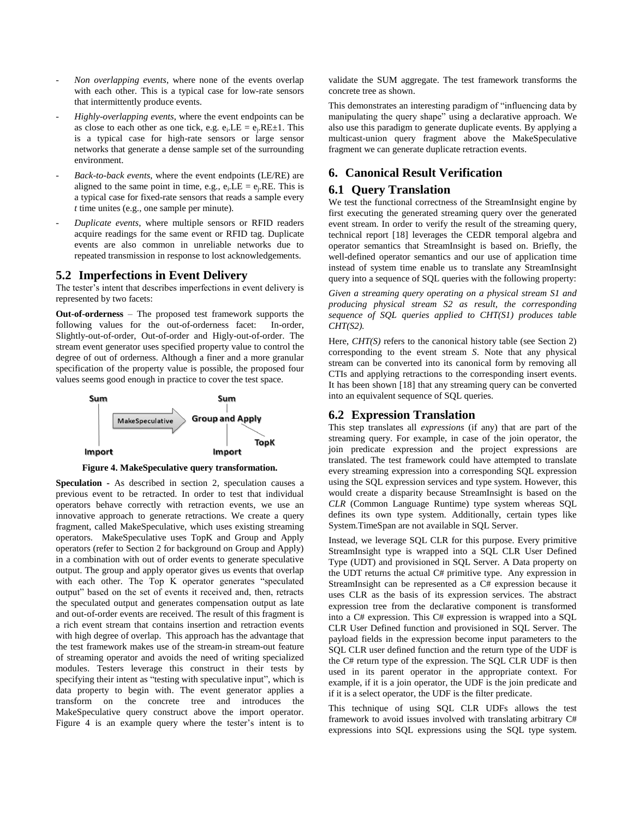- *Non overlapping events*, where none of the events overlap with each other. This is a typical case for low-rate sensors that intermittently produce events.
- *Highly-overlapping events*, where the event endpoints can be as close to each other as one tick, e.g.  $e_i$ .  $LE = e_j$ .  $RE \pm 1$ . This is a typical case for high-rate sensors or large sensor networks that generate a dense sample set of the surrounding environment.
- *Back-to-back events*, where the event endpoints (LE/RE) are aligned to the same point in time, e.g.,  $e_i$ .LE =  $e_j$ .RE. This is a typical case for fixed-rate sensors that reads a sample every *t* time unites (e.g., one sample per minute).
- *Duplicate events*, where multiple sensors or RFID readers acquire readings for the same event or RFID tag. Duplicate events are also common in unreliable networks due to repeated transmission in response to lost acknowledgements.

## **5.2 Imperfections in Event Delivery**

The tester's intent that describes imperfections in event delivery is represented by two facets:

**Out-of-orderness** – The proposed test framework supports the following values for the out-of-orderness facet: In-order, Slightly-out-of-order, Out-of-order and Higly-out-of-order. The stream event generator uses specified property value to control the degree of out of orderness. Although a finer and a more granular specification of the property value is possible, the proposed four values seems good enough in practice to cover the test space.





**Speculation -** As described in section 2, speculation causes a previous event to be retracted. In order to test that individual operators behave correctly with retraction events, we use an innovative approach to generate retractions. We create a query fragment, called MakeSpeculative, which uses existing streaming operators. MakeSpeculative uses TopK and Group and Apply operators (refer to Section 2 for background on Group and Apply) in a combination with out of order events to generate speculative output. The group and apply operator gives us events that overlap with each other. The Top K operator generates "speculated output" based on the set of events it received and, then, retracts the speculated output and generates compensation output as late and out-of-order events are received. The result of this fragment is a rich event stream that contains insertion and retraction events with high degree of overlap. This approach has the advantage that the test framework makes use of the stream-in stream-out feature of streaming operator and avoids the need of writing specialized modules. Testers leverage this construct in their tests by specifying their intent as "testing with speculative input", which is data property to begin with. The event generator applies a transform on the concrete tree and introduces the MakeSpeculative query construct above the import operator. Figure 4 is an example query where the tester's intent is to

validate the SUM aggregate. The test framework transforms the concrete tree as shown.

This demonstrates an interesting paradigm of "influencing data by manipulating the query shape" using a declarative approach. We also use this paradigm to generate duplicate events. By applying a multicast-union query fragment above the MakeSpeculative fragment we can generate duplicate retraction events.

# **6. Canonical Result Verification**

# **6.1 Query Translation**

We test the functional correctness of the StreamInsight engine by first executing the generated streaming query over the generated event stream. In order to verify the result of the streaming query, technical report [\[18\]](#page-5-0) leverages the CEDR temporal algebra and operator semantics that StreamInsight is based on. Briefly, the well-defined operator semantics and our use of application time instead of system time enable us to translate any StreamInsight query into a sequence of SQL queries with the following property:

*Given a streaming query operating on a physical stream S1 and producing physical stream S2 as result, the corresponding sequence of SQL queries applied to CHT(S1) produces table CHT(S2).*

Here, *CHT(S)* refers to the canonical history table (see Section 2) corresponding to the event stream *S*. Note that any physical stream can be converted into its canonical form by removing all CTIs and applying retractions to the corresponding insert events. It has been shown [18] that any streaming query can be converted into an equivalent sequence of SQL queries.

# **6.2 Expression Translation**

This step translates all *expressions* (if any) that are part of the streaming query. For example, in case of the join operator, the join predicate expression and the project expressions are translated. The test framework could have attempted to translate every streaming expression into a corresponding SQL expression using the SQL expression services and type system. However, this would create a disparity because StreamInsight is based on the *CLR* (Common Language Runtime) type system whereas SQL defines its own type system. Additionally, certain types like System.TimeSpan are not available in SQL Server.

Instead, we leverage SQL CLR for this purpose. Every primitive StreamInsight type is wrapped into a SQL CLR User Defined Type (UDT) and provisioned in SQL Server. A Data property on the UDT returns the actual C# primitive type. Any expression in StreamInsight can be represented as a C# expression because it uses CLR as the basis of its expression services. The abstract expression tree from the declarative component is transformed into a C# expression. This C# expression is wrapped into a SQL CLR User Defined function and provisioned in SQL Server. The payload fields in the expression become input parameters to the SQL CLR user defined function and the return type of the UDF is the C# return type of the expression. The SQL CLR UDF is then used in its parent operator in the appropriate context. For example, if it is a join operator, the UDF is the join predicate and if it is a select operator, the UDF is the filter predicate.

This technique of using SQL CLR UDFs allows the test framework to avoid issues involved with translating arbitrary C# expressions into SQL expressions using the SQL type system.